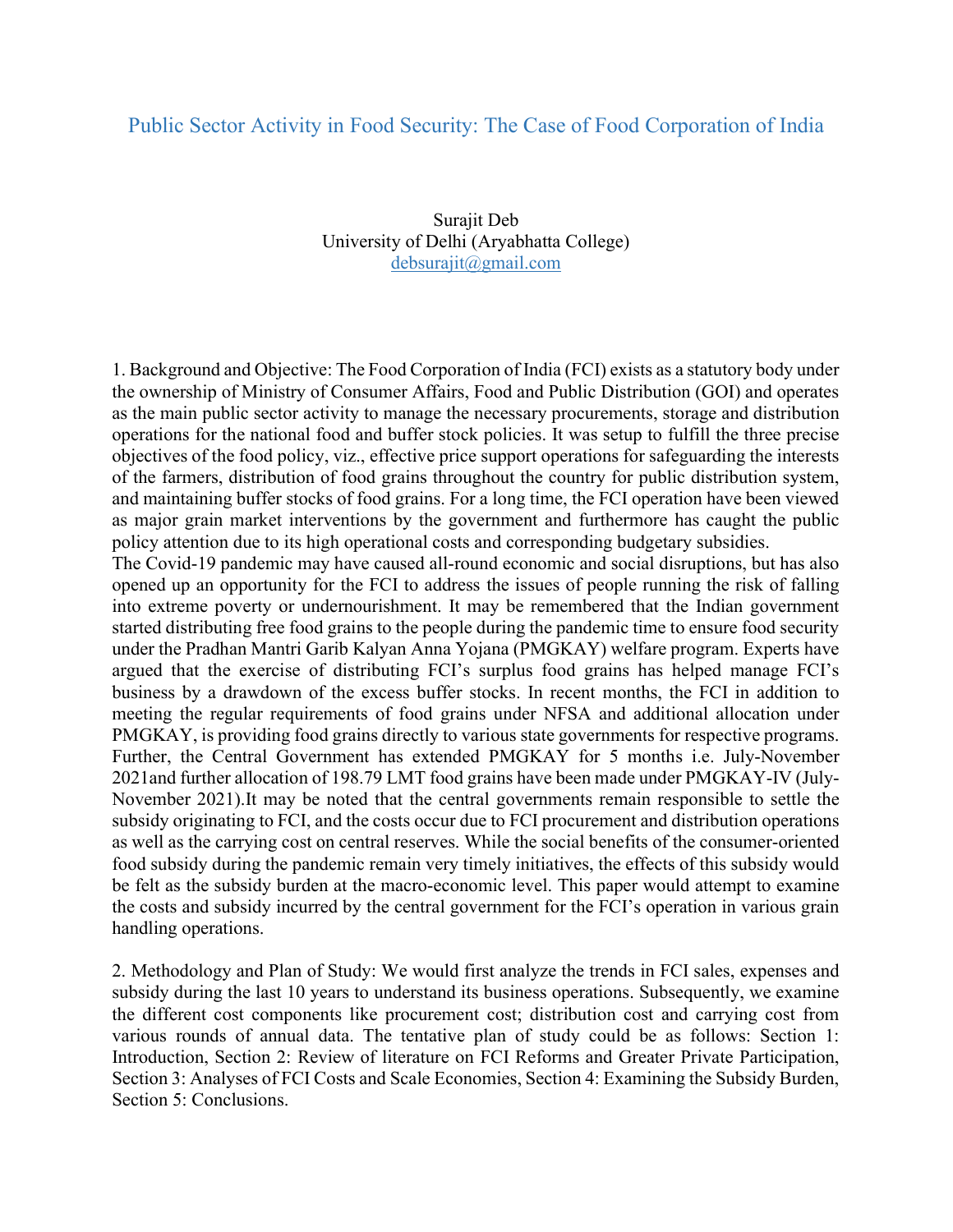## Public Sector Activity in Food Security: The Case of Food Corporation of India

Surajit Deb University of Delhi (Aryabhatta College) debsurajit@gmail.com

1. Background and Objective: The Food Corporation of India (FCI) exists as a statutory body under the ownership of Ministry of Consumer Affairs, Food and Public Distribution (GOI) and operates as the main public sector activity to manage the necessary procurements, storage and distribution operations for the national food and buffer stock policies. It was setup to fulfill the three precise objectives of the food policy, viz., effective price support operations for safeguarding the interests of the farmers, distribution of food grains throughout the country for public distribution system, and maintaining buffer stocks of food grains. For a long time, the FCI operation have been viewed as major grain market interventions by the government and furthermore has caught the public policy attention due to its high operational costs and corresponding budgetary subsidies.

The Covid-19 pandemic may have caused all-round economic and social disruptions, but has also opened up an opportunity for the FCI to address the issues of people running the risk of falling into extreme poverty or undernourishment. It may be remembered that the Indian government started distributing free food grains to the people during the pandemic time to ensure food security under the Pradhan Mantri Garib Kalyan Anna Yojana (PMGKAY) welfare program. Experts have argued that the exercise of distributing FCI's surplus food grains has helped manage FCI's business by a drawdown of the excess buffer stocks. In recent months, the FCI in addition to meeting the regular requirements of food grains under NFSA and additional allocation under PMGKAY, is providing food grains directly to various state governments for respective programs. Further, the Central Government has extended PMGKAY for 5 months i.e. July-November 2021and further allocation of 198.79 LMT food grains have been made under PMGKAY-IV (July-November 2021).It may be noted that the central governments remain responsible to settle the subsidy originating to FCI, and the costs occur due to FCI procurement and distribution operations as well as the carrying cost on central reserves. While the social benefits of the consumer-oriented food subsidy during the pandemic remain very timely initiatives, the effects of this subsidy would be felt as the subsidy burden at the macro-economic level. This paper would attempt to examine the costs and subsidy incurred by the central government for the FCI's operation in various grain handling operations.

2. Methodology and Plan of Study: We would first analyze the trends in FCI sales, expenses and subsidy during the last 10 years to understand its business operations. Subsequently, we examine the different cost components like procurement cost; distribution cost and carrying cost from various rounds of annual data. The tentative plan of study could be as follows: Section 1: Introduction, Section 2: Review of literature on FCI Reforms and Greater Private Participation, Section 3: Analyses of FCI Costs and Scale Economies, Section 4: Examining the Subsidy Burden, Section 5: Conclusions.